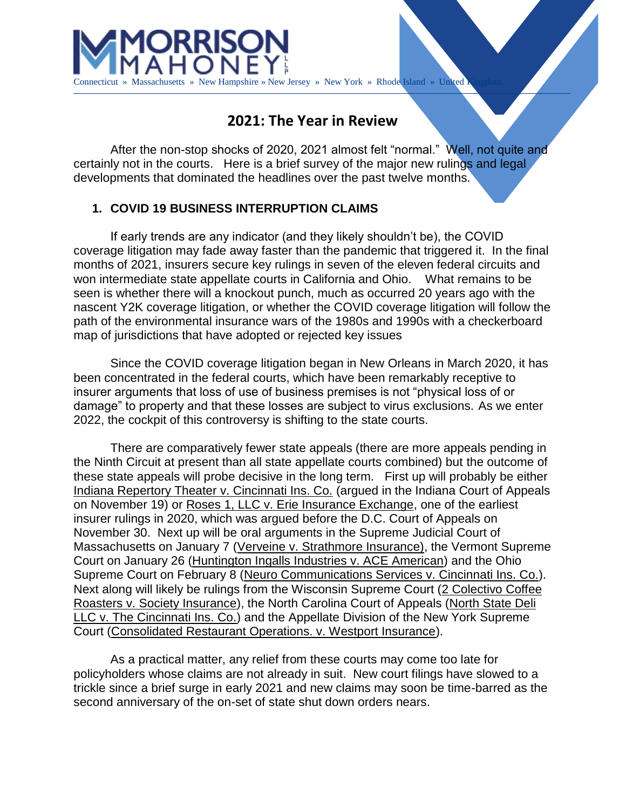

Connecticut » Massachusetts » New Hampshire » New Jersey » New York » Rhode Island » United I

# **2021: The Year in Review**

After the non-stop shocks of 2020, 2021 almost felt "normal." Well, not quite and certainly not in the courts. Here is a brief survey of the major new rulings and legal developments that dominated the headlines over the past twelve months.

# **1. COVID 19 BUSINESS INTERRUPTION CLAIMS**

If early trends are any indicator (and they likely shouldn't be), the COVID coverage litigation may fade away faster than the pandemic that triggered it. In the final months of 2021, insurers secure key rulings in seven of the eleven federal circuits and won intermediate state appellate courts in California and Ohio. What remains to be seen is whether there will a knockout punch, much as occurred 20 years ago with the nascent Y2K coverage litigation, or whether the COVID coverage litigation will follow the path of the environmental insurance wars of the 1980s and 1990s with a checkerboard map of jurisdictions that have adopted or rejected key issues

Since the COVID coverage litigation began in New Orleans in March 2020, it has been concentrated in the federal courts, which have been remarkably receptive to insurer arguments that loss of use of business premises is not "physical loss of or damage" to property and that these losses are subject to virus exclusions. As we enter 2022, the cockpit of this controversy is shifting to the state courts.

There are comparatively fewer state appeals (there are more appeals pending in the Ninth Circuit at present than all state appellate courts combined) but the outcome of these state appeals will probe decisive in the long term. First up will probably be either Indiana Repertory Theater v. Cincinnati Ins. Co. (argued in the Indiana Court of Appeals on November 19) or Roses 1, LLC v. Erie Insurance Exchange, one of the earliest insurer rulings in 2020, which was argued before the D.C. Court of Appeals on November 30. Next up will be oral arguments in the Supreme Judicial Court of Massachusetts on January 7 (Verveine v. Strathmore Insurance), the Vermont Supreme Court on January 26 (Huntington Ingalls Industries v. ACE American) and the Ohio Supreme Court on February 8 (Neuro Communications Services v. Cincinnati Ins. Co.). Next along will likely be rulings from the Wisconsin Supreme Court (2 Colectivo Coffee Roasters v. Society Insurance), the North Carolina Court of Appeals (North State Deli LLC v. The Cincinnati Ins. Co.) and the Appellate Division of the New York Supreme Court (Consolidated Restaurant Operations. v. Westport Insurance).

As a practical matter, any relief from these courts may come too late for policyholders whose claims are not already in suit. New court filings have slowed to a trickle since a brief surge in early 2021 and new claims may soon be time-barred as the second anniversary of the on-set of state shut down orders nears.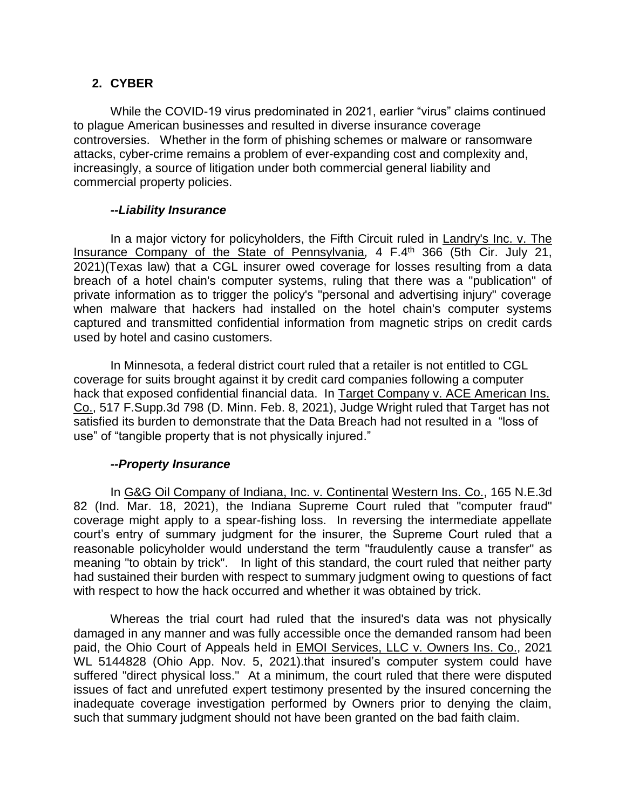# **2. CYBER**

While the COVID-19 virus predominated in 2021, earlier "virus" claims continued to plague American businesses and resulted in diverse insurance coverage controversies. Whether in the form of phishing schemes or malware or ransomware attacks, cyber-crime remains a problem of ever-expanding cost and complexity and, increasingly, a source of litigation under both commercial general liability and commercial property policies.

#### *--Liability Insurance*

In a major victory for policyholders, the Fifth Circuit ruled in Landry's Inc. v. The Insurance Company of the State of Pennsylvania*,* 4 F.4th 366 (5th Cir. July 21, 2021)(Texas law) that a CGL insurer owed coverage for losses resulting from a data breach of a hotel chain's computer systems, ruling that there was a "publication" of private information as to trigger the policy's "personal and advertising injury" coverage when malware that hackers had installed on the hotel chain's computer systems captured and transmitted confidential information from magnetic strips on credit cards used by hotel and casino customers.

In Minnesota, a federal district court ruled that a retailer is not entitled to CGL coverage for suits brought against it by credit card companies following a computer hack that exposed confidential financial data. In Target Company v. ACE American Ins. Co., 517 F.Supp.3d 798 (D. Minn. Feb. 8, 2021), Judge Wright ruled that Target has not satisfied its burden to demonstrate that the Data Breach had not resulted in a "loss of use" of "tangible property that is not physically injured."

# *--Property Insurance*

In G&G Oil Company of Indiana, Inc. v. Continental Western Ins. Co., 165 N.E.3d 82 (Ind. Mar. 18, 2021), the Indiana Supreme Court ruled that "computer fraud" coverage might apply to a spear-fishing loss. In reversing the intermediate appellate court's entry of summary judgment for the insurer, the Supreme Court ruled that a reasonable policyholder would understand the term "fraudulently cause a transfer" as meaning "to obtain by trick". In light of this standard, the court ruled that neither party had sustained their burden with respect to summary judgment owing to questions of fact with respect to how the hack occurred and whether it was obtained by trick.

Whereas the trial court had ruled that the insured's data was not physically damaged in any manner and was fully accessible once the demanded ransom had been paid, the Ohio Court of Appeals held in EMOI Services, LLC v. Owners Ins. Co., 2021 WL 5144828 (Ohio App. Nov. 5, 2021).that insured's computer system could have suffered "direct physical loss." At a minimum, the court ruled that there were disputed issues of fact and unrefuted expert testimony presented by the insured concerning the inadequate coverage investigation performed by Owners prior to denying the claim, such that summary judgment should not have been granted on the bad faith claim.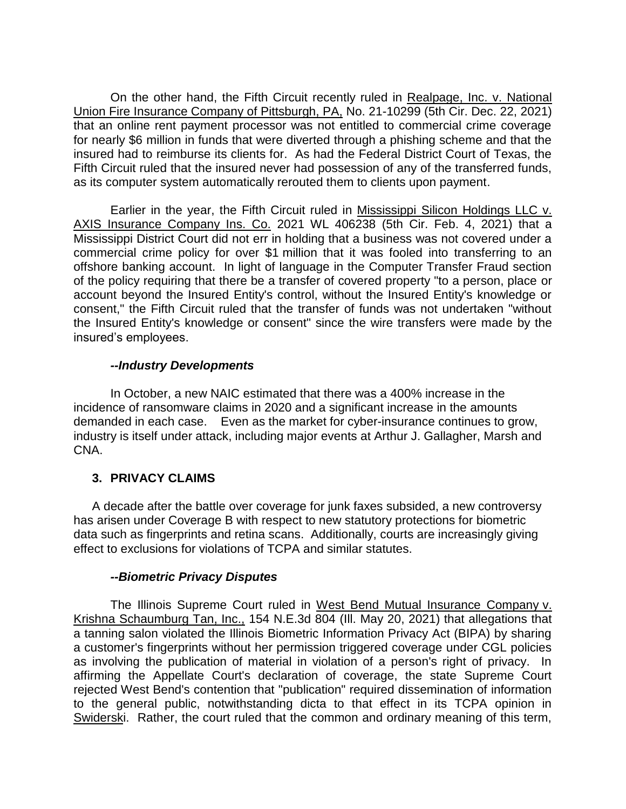On the other hand, the Fifth Circuit recently ruled in Realpage, Inc. v. National Union Fire Insurance Company of Pittsburgh, PA, No. 21-10299 (5th Cir. Dec. 22, 2021) that an online rent payment processor was not entitled to commercial crime coverage for nearly \$6 million in funds that were diverted through a phishing scheme and that the insured had to reimburse its clients for. As had the Federal District Court of Texas, the Fifth Circuit ruled that the insured never had possession of any of the transferred funds, as its computer system automatically rerouted them to clients upon payment.

Earlier in the year, the Fifth Circuit ruled in Mississippi Silicon Holdings LLC v. AXIS Insurance Company Ins. Co. 2021 WL 406238 (5th Cir. Feb. 4, 2021) that a Mississippi District Court did not err in holding that a business was not covered under a commercial crime policy for over \$1 million that it was fooled into transferring to an offshore banking account. In light of language in the Computer Transfer Fraud section of the policy requiring that there be a transfer of covered property "to a person, place or account beyond the Insured Entity's control, without the Insured Entity's knowledge or consent," the Fifth Circuit ruled that the transfer of funds was not undertaken "without the Insured Entity's knowledge or consent" since the wire transfers were made by the insured's employees.

# *--Industry Developments*

In October, a new NAIC estimated that there was a 400% increase in the incidence of ransomware claims in 2020 and a significant increase in the amounts demanded in each case. Even as the market for cyber-insurance continues to grow, industry is itself under attack, including major events at Arthur J. Gallagher, Marsh and CNA.

# **3. PRIVACY CLAIMS**

A decade after the battle over coverage for junk faxes subsided, a new controversy has arisen under Coverage B with respect to new statutory protections for biometric data such as fingerprints and retina scans. Additionally, courts are increasingly giving effect to exclusions for violations of TCPA and similar statutes.

# *--Biometric Privacy Disputes*

The Illinois Supreme Court ruled in West Bend Mutual Insurance Company v. Krishna Schaumburg Tan, Inc., 154 N.E.3d 804 (Ill. May 20, 2021) that allegations that a tanning salon violated the Illinois Biometric Information Privacy Act (BIPA) by sharing a customer's fingerprints without her permission triggered coverage under CGL policies as involving the publication of material in violation of a person's right of privacy. In affirming the Appellate Court's declaration of coverage, the state Supreme Court rejected West Bend's contention that "publication" required dissemination of information to the general public, notwithstanding dicta to that effect in its TCPA opinion in Swiderski. Rather, the court ruled that the common and ordinary meaning of this term,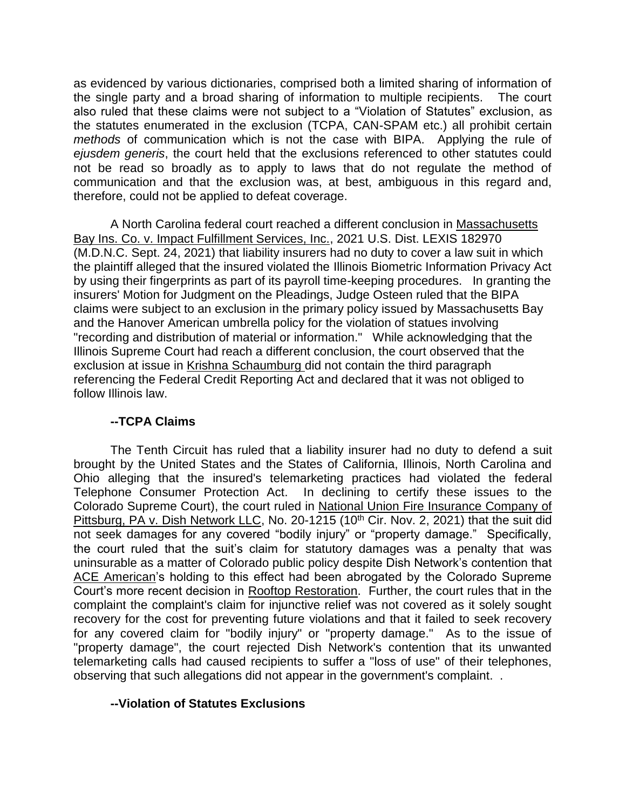as evidenced by various dictionaries, comprised both a limited sharing of information of the single party and a broad sharing of information to multiple recipients. The court also ruled that these claims were not subject to a "Violation of Statutes" exclusion, as the statutes enumerated in the exclusion (TCPA, CAN-SPAM etc.) all prohibit certain *methods* of communication which is not the case with BIPA. Applying the rule of *ejusdem generis*, the court held that the exclusions referenced to other statutes could not be read so broadly as to apply to laws that do not regulate the method of communication and that the exclusion was, at best, ambiguous in this regard and, therefore, could not be applied to defeat coverage.

A North Carolina federal court reached a different conclusion in Massachusetts Bay Ins. Co. v. Impact Fulfillment Services, Inc., 2021 U.S. Dist. LEXIS 182970 (M.D.N.C. Sept. 24, 2021) that liability insurers had no duty to cover a law suit in which the plaintiff alleged that the insured violated the Illinois Biometric Information Privacy Act by using their fingerprints as part of its payroll time-keeping procedures. In granting the insurers' Motion for Judgment on the Pleadings, Judge Osteen ruled that the BIPA claims were subject to an exclusion in the primary policy issued by Massachusetts Bay and the Hanover American umbrella policy for the violation of statues involving "recording and distribution of material or information." While acknowledging that the Illinois Supreme Court had reach a different conclusion, the court observed that the exclusion at issue in Krishna Schaumburg did not contain the third paragraph referencing the Federal Credit Reporting Act and declared that it was not obliged to follow Illinois law.

# **--TCPA Claims**

The Tenth Circuit has ruled that a liability insurer had no duty to defend a suit brought by the United States and the States of California, Illinois, North Carolina and Ohio alleging that the insured's telemarketing practices had violated the federal Telephone Consumer Protection Act. In declining to certify these issues to the Colorado Supreme Court), the court ruled in National Union Fire Insurance Company of Pittsburg, PA v. Dish Network LLC, No. 20-1215 (10<sup>th</sup> Cir. Nov. 2, 2021) that the suit did not seek damages for any covered "bodily injury" or "property damage." Specifically, the court ruled that the suit's claim for statutory damages was a penalty that was uninsurable as a matter of Colorado public policy despite Dish Network's contention that ACE American's holding to this effect had been abrogated by the Colorado Supreme Court's more recent decision in Rooftop Restoration. Further, the court rules that in the complaint the complaint's claim for injunctive relief was not covered as it solely sought recovery for the cost for preventing future violations and that it failed to seek recovery for any covered claim for "bodily injury" or "property damage." As to the issue of "property damage", the court rejected Dish Network's contention that its unwanted telemarketing calls had caused recipients to suffer a "loss of use" of their telephones, observing that such allegations did not appear in the government's complaint. .

# **--Violation of Statutes Exclusions**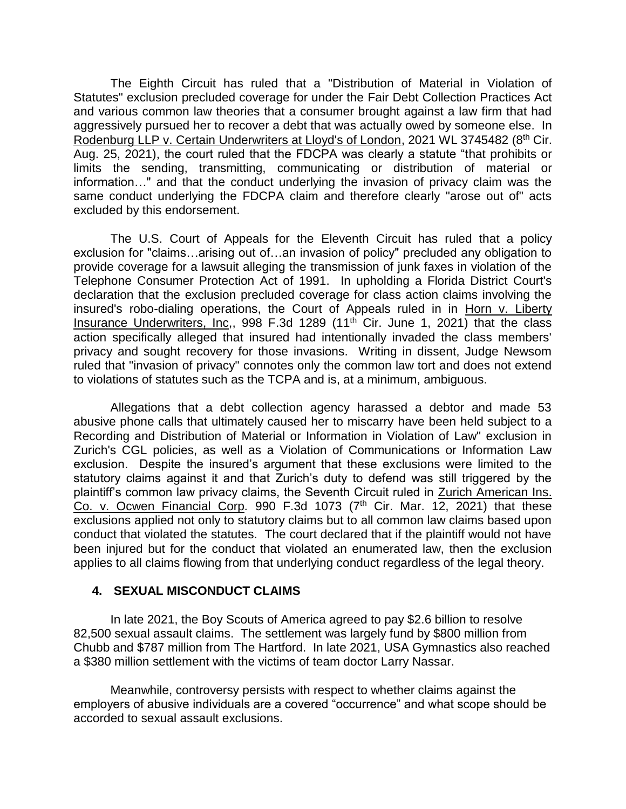The Eighth Circuit has ruled that a "Distribution of Material in Violation of Statutes" exclusion precluded coverage for under the Fair Debt Collection Practices Act and various common law theories that a consumer brought against a law firm that had aggressively pursued her to recover a debt that was actually owed by someone else. In Rodenburg LLP v. Certain Underwriters at Lloyd's of London, 2021 WL 3745482 (8<sup>th</sup> Cir. Aug. 25, 2021), the court ruled that the FDCPA was clearly a statute "that prohibits or limits the sending, transmitting, communicating or distribution of material or information…" and that the conduct underlying the invasion of privacy claim was the same conduct underlying the FDCPA claim and therefore clearly "arose out of" acts excluded by this endorsement.

The U.S. Court of Appeals for the Eleventh Circuit has ruled that a policy exclusion for "claims…arising out of…an invasion of policy" precluded any obligation to provide coverage for a lawsuit alleging the transmission of junk faxes in violation of the Telephone Consumer Protection Act of 1991. In upholding a Florida District Court's declaration that the exclusion precluded coverage for class action claims involving the insured's robo-dialing operations, the Court of Appeals ruled in in Horn v. Liberty Insurance Underwriters, Inc., 998 F.3d 1289 (11<sup>th</sup> Cir. June 1, 2021) that the class action specifically alleged that insured had intentionally invaded the class members' privacy and sought recovery for those invasions. Writing in dissent, Judge Newsom ruled that "invasion of privacy" connotes only the common law tort and does not extend to violations of statutes such as the TCPA and is, at a minimum, ambiguous.

Allegations that a debt collection agency harassed a debtor and made 53 abusive phone calls that ultimately caused her to miscarry have been held subject to a Recording and Distribution of Material or Information in Violation of Law" exclusion in Zurich's CGL policies, as well as a Violation of Communications or Information Law exclusion. Despite the insured's argument that these exclusions were limited to the statutory claims against it and that Zurich's duty to defend was still triggered by the plaintiff's common law privacy claims, the Seventh Circuit ruled in Zurich American Ins. Co. v. Ocwen Financial Corp. 990 F.3d 1073 (7<sup>th</sup> Cir. Mar. 12, 2021) that these exclusions applied not only to statutory claims but to all common law claims based upon conduct that violated the statutes. The court declared that if the plaintiff would not have been injured but for the conduct that violated an enumerated law, then the exclusion applies to all claims flowing from that underlying conduct regardless of the legal theory.

#### **4. SEXUAL MISCONDUCT CLAIMS**

In late 2021, the Boy Scouts of America agreed to pay \$2.6 billion to resolve 82,500 sexual assault claims. The settlement was largely fund by \$800 million from Chubb and \$787 million from The Hartford. In late 2021, USA Gymnastics also reached a \$380 million settlement with the victims of team doctor Larry Nassar.

Meanwhile, controversy persists with respect to whether claims against the employers of abusive individuals are a covered "occurrence" and what scope should be accorded to sexual assault exclusions.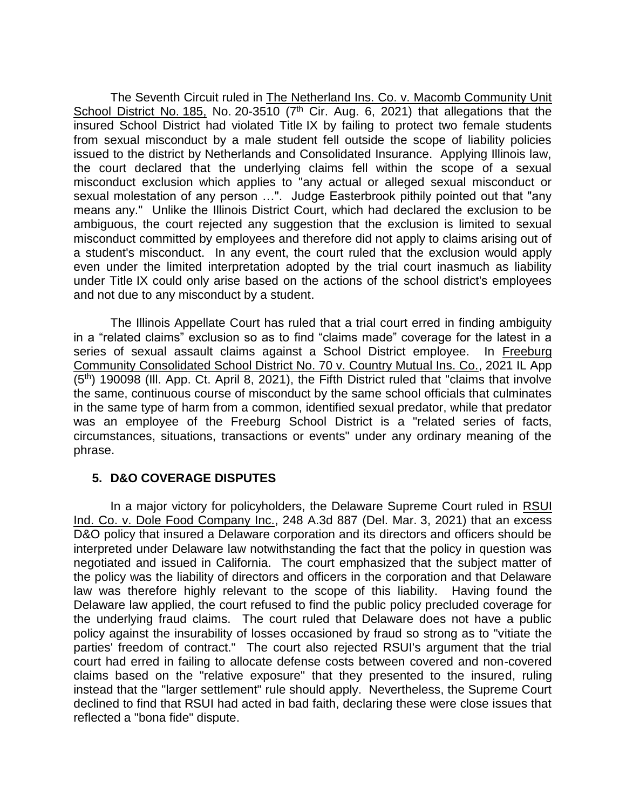The Seventh Circuit ruled in The Netherland Ins. Co. v. Macomb Community Unit School District No. 185, No. 20-3510 ( $7<sup>th</sup>$  Cir. Aug. 6, 2021) that allegations that the insured School District had violated Title IX by failing to protect two female students from sexual misconduct by a male student fell outside the scope of liability policies issued to the district by Netherlands and Consolidated Insurance. Applying Illinois law, the court declared that the underlying claims fell within the scope of a sexual misconduct exclusion which applies to "any actual or alleged sexual misconduct or sexual molestation of any person …". Judge Easterbrook pithily pointed out that "any means any." Unlike the Illinois District Court, which had declared the exclusion to be ambiguous, the court rejected any suggestion that the exclusion is limited to sexual misconduct committed by employees and therefore did not apply to claims arising out of a student's misconduct. In any event, the court ruled that the exclusion would apply even under the limited interpretation adopted by the trial court inasmuch as liability under Title IX could only arise based on the actions of the school district's employees and not due to any misconduct by a student.

The Illinois Appellate Court has ruled that a trial court erred in finding ambiguity in a "related claims" exclusion so as to find "claims made" coverage for the latest in a series of sexual assault claims against a School District employee. In Freeburg Community Consolidated School District No. 70 v. Country Mutual Ins. Co., 2021 IL App  $(5<sup>th</sup>)$  190098 (III. App. Ct. April 8, 2021), the Fifth District ruled that "claims that involve the same, continuous course of misconduct by the same school officials that culminates in the same type of harm from a common, identified sexual predator, while that predator was an employee of the Freeburg School District is a "related series of facts, circumstances, situations, transactions or events" under any ordinary meaning of the phrase.

# **5. D&O COVERAGE DISPUTES**

In a major victory for policyholders, the Delaware Supreme Court ruled in RSUI Ind. Co. v. Dole Food Company Inc., 248 A.3d 887 (Del. Mar. 3, 2021) that an excess D&O policy that insured a Delaware corporation and its directors and officers should be interpreted under Delaware law notwithstanding the fact that the policy in question was negotiated and issued in California. The court emphasized that the subject matter of the policy was the liability of directors and officers in the corporation and that Delaware law was therefore highly relevant to the scope of this liability. Having found the Delaware law applied, the court refused to find the public policy precluded coverage for the underlying fraud claims. The court ruled that Delaware does not have a public policy against the insurability of losses occasioned by fraud so strong as to "vitiate the parties' freedom of contract." The court also rejected RSUI's argument that the trial court had erred in failing to allocate defense costs between covered and non-covered claims based on the "relative exposure" that they presented to the insured, ruling instead that the "larger settlement" rule should apply. Nevertheless, the Supreme Court declined to find that RSUI had acted in bad faith, declaring these were close issues that reflected a "bona fide" dispute.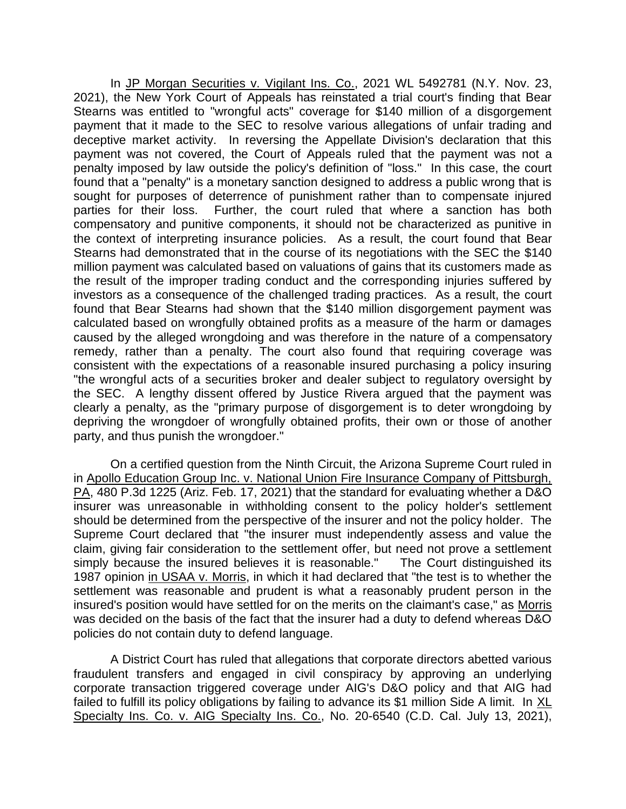In JP Morgan Securities v. Vigilant Ins. Co., 2021 WL 5492781 (N.Y. Nov. 23, 2021), the New York Court of Appeals has reinstated a trial court's finding that Bear Stearns was entitled to "wrongful acts" coverage for \$140 million of a disgorgement payment that it made to the SEC to resolve various allegations of unfair trading and deceptive market activity. In reversing the Appellate Division's declaration that this payment was not covered, the Court of Appeals ruled that the payment was not a penalty imposed by law outside the policy's definition of "loss." In this case, the court found that a "penalty" is a monetary sanction designed to address a public wrong that is sought for purposes of deterrence of punishment rather than to compensate injured parties for their loss. Further, the court ruled that where a sanction has both compensatory and punitive components, it should not be characterized as punitive in the context of interpreting insurance policies. As a result, the court found that Bear Stearns had demonstrated that in the course of its negotiations with the SEC the \$140 million payment was calculated based on valuations of gains that its customers made as the result of the improper trading conduct and the corresponding injuries suffered by investors as a consequence of the challenged trading practices. As a result, the court found that Bear Stearns had shown that the \$140 million disgorgement payment was calculated based on wrongfully obtained profits as a measure of the harm or damages caused by the alleged wrongdoing and was therefore in the nature of a compensatory remedy, rather than a penalty. The court also found that requiring coverage was consistent with the expectations of a reasonable insured purchasing a policy insuring "the wrongful acts of a securities broker and dealer subject to regulatory oversight by the SEC. A lengthy dissent offered by Justice Rivera argued that the payment was clearly a penalty, as the "primary purpose of disgorgement is to deter wrongdoing by depriving the wrongdoer of wrongfully obtained profits, their own or those of another party, and thus punish the wrongdoer."

On a certified question from the Ninth Circuit, the Arizona Supreme Court ruled in in Apollo Education Group Inc. v. National Union Fire Insurance Company of Pittsburgh, PA, 480 P.3d 1225 (Ariz. Feb. 17, 2021) that the standard for evaluating whether a D&O insurer was unreasonable in withholding consent to the policy holder's settlement should be determined from the perspective of the insurer and not the policy holder. The Supreme Court declared that "the insurer must independently assess and value the claim, giving fair consideration to the settlement offer, but need not prove a settlement simply because the insured believes it is reasonable." The Court distinguished its 1987 opinion in USAA v. Morris, in which it had declared that "the test is to whether the settlement was reasonable and prudent is what a reasonably prudent person in the insured's position would have settled for on the merits on the claimant's case," as Morris was decided on the basis of the fact that the insurer had a duty to defend whereas D&O policies do not contain duty to defend language.

A District Court has ruled that allegations that corporate directors abetted various fraudulent transfers and engaged in civil conspiracy by approving an underlying corporate transaction triggered coverage under AIG's D&O policy and that AIG had failed to fulfill its policy obligations by failing to advance its \$1 million Side A limit. In XL Specialty Ins. Co. v. AIG Specialty Ins. Co., No. 20-6540 (C.D. Cal. July 13, 2021),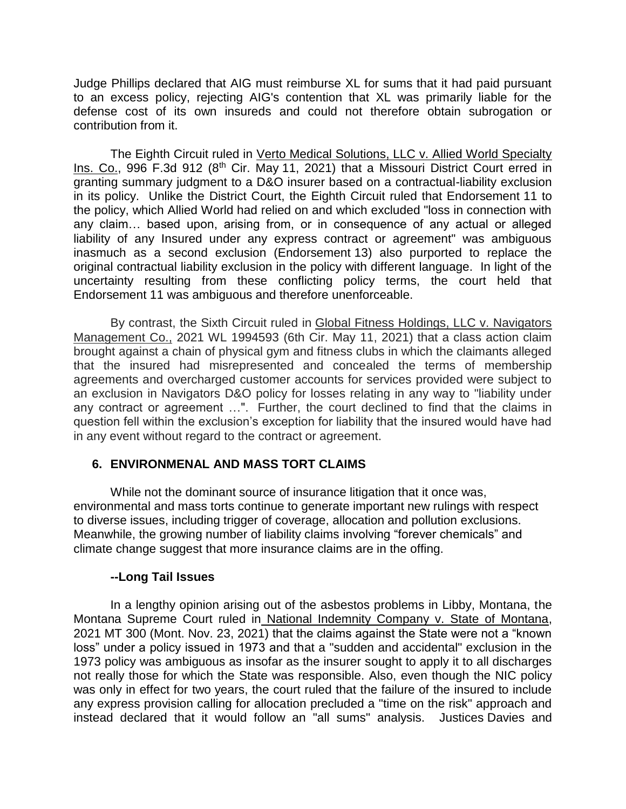Judge Phillips declared that AIG must reimburse XL for sums that it had paid pursuant to an excess policy, rejecting AIG's contention that XL was primarily liable for the defense cost of its own insureds and could not therefore obtain subrogation or contribution from it.

The Eighth Circuit ruled in Verto Medical Solutions, LLC v. Allied World Specialty Ins. Co., 996 F.3d 912 (8<sup>th</sup> Cir. May 11, 2021) that a Missouri District Court erred in granting summary judgment to a D&O insurer based on a contractual-liability exclusion in its policy. Unlike the District Court, the Eighth Circuit ruled that Endorsement 11 to the policy, which Allied World had relied on and which excluded "loss in connection with any claim… based upon, arising from, or in consequence of any actual or alleged liability of any Insured under any express contract or agreement" was ambiguous inasmuch as a second exclusion (Endorsement 13) also purported to replace the original contractual liability exclusion in the policy with different language. In light of the uncertainty resulting from these conflicting policy terms, the court held that Endorsement 11 was ambiguous and therefore unenforceable.

By contrast, the Sixth Circuit ruled in Global Fitness Holdings, LLC v. Navigators Management Co., 2021 WL 1994593 (6th Cir. May 11, 2021) that a class action claim brought against a chain of physical gym and fitness clubs in which the claimants alleged that the insured had misrepresented and concealed the terms of membership agreements and overcharged customer accounts for services provided were subject to an exclusion in Navigators D&O policy for losses relating in any way to "liability under any contract or agreement …". Further, the court declined to find that the claims in question fell within the exclusion's exception for liability that the insured would have had in any event without regard to the contract or agreement.

#### **6. ENVIRONMENAL AND MASS TORT CLAIMS**

While not the dominant source of insurance litigation that it once was, environmental and mass torts continue to generate important new rulings with respect to diverse issues, including trigger of coverage, allocation and pollution exclusions. Meanwhile, the growing number of liability claims involving "forever chemicals" and climate change suggest that more insurance claims are in the offing.

#### **--Long Tail Issues**

In a lengthy opinion arising out of the asbestos problems in Libby, Montana, the Montana Supreme Court ruled in National Indemnity Company v. State of Montana, 2021 MT 300 (Mont. Nov. 23, 2021) that the claims against the State were not a "known loss" under a policy issued in 1973 and that a "sudden and accidental" exclusion in the 1973 policy was ambiguous as insofar as the insurer sought to apply it to all discharges not really those for which the State was responsible. Also, even though the NIC policy was only in effect for two years, the court ruled that the failure of the insured to include any express provision calling for allocation precluded a "time on the risk" approach and instead declared that it would follow an "all sums" analysis. Justices Davies and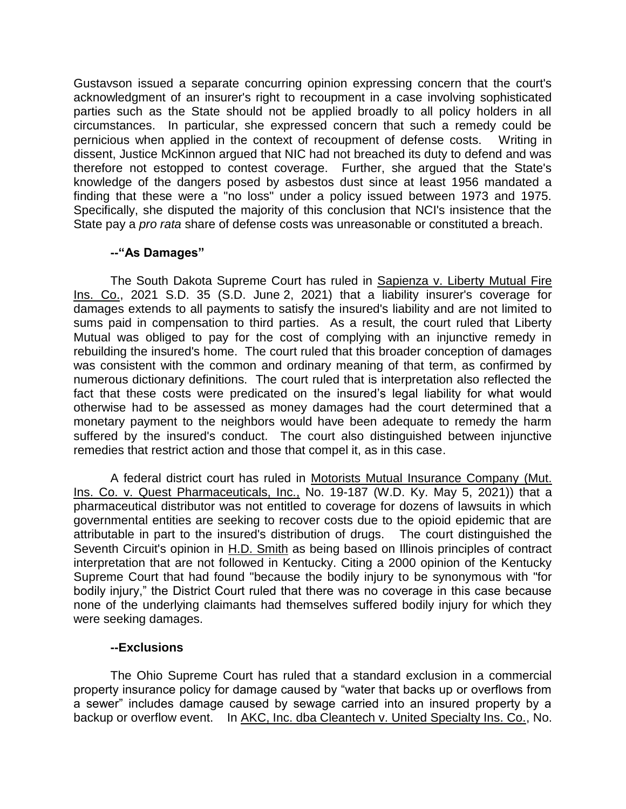Gustavson issued a separate concurring opinion expressing concern that the court's acknowledgment of an insurer's right to recoupment in a case involving sophisticated parties such as the State should not be applied broadly to all policy holders in all circumstances. In particular, she expressed concern that such a remedy could be pernicious when applied in the context of recoupment of defense costs. Writing in dissent, Justice McKinnon argued that NIC had not breached its duty to defend and was therefore not estopped to contest coverage. Further, she argued that the State's knowledge of the dangers posed by asbestos dust since at least 1956 mandated a finding that these were a "no loss" under a policy issued between 1973 and 1975. Specifically, she disputed the majority of this conclusion that NCI's insistence that the State pay a *pro rata* share of defense costs was unreasonable or constituted a breach.

# **--"As Damages"**

The South Dakota Supreme Court has ruled in Sapienza v. Liberty Mutual Fire Ins. Co., 2021 S.D. 35 (S.D. June 2, 2021) that a liability insurer's coverage for damages extends to all payments to satisfy the insured's liability and are not limited to sums paid in compensation to third parties. As a result, the court ruled that Liberty Mutual was obliged to pay for the cost of complying with an injunctive remedy in rebuilding the insured's home. The court ruled that this broader conception of damages was consistent with the common and ordinary meaning of that term, as confirmed by numerous dictionary definitions. The court ruled that is interpretation also reflected the fact that these costs were predicated on the insured's legal liability for what would otherwise had to be assessed as money damages had the court determined that a monetary payment to the neighbors would have been adequate to remedy the harm suffered by the insured's conduct. The court also distinguished between injunctive remedies that restrict action and those that compel it, as in this case.

A federal district court has ruled in Motorists Mutual Insurance Company (Mut. Ins. Co. v. Quest Pharmaceuticals, Inc., No. 19-187 (W.D. Ky. May 5, 2021)) that a pharmaceutical distributor was not entitled to coverage for dozens of lawsuits in which governmental entities are seeking to recover costs due to the opioid epidemic that are attributable in part to the insured's distribution of drugs. The court distinguished the Seventh Circuit's opinion in H.D. Smith as being based on Illinois principles of contract interpretation that are not followed in Kentucky. Citing a 2000 opinion of the Kentucky Supreme Court that had found "because the bodily injury to be synonymous with "for bodily injury," the District Court ruled that there was no coverage in this case because none of the underlying claimants had themselves suffered bodily injury for which they were seeking damages.

#### **--Exclusions**

The Ohio Supreme Court has ruled that a standard exclusion in a commercial property insurance policy for damage caused by "water that backs up or overflows from a sewer" includes damage caused by sewage carried into an insured property by a backup or overflow event. In AKC, Inc. dba Cleantech v. United Specialty Ins. Co., No.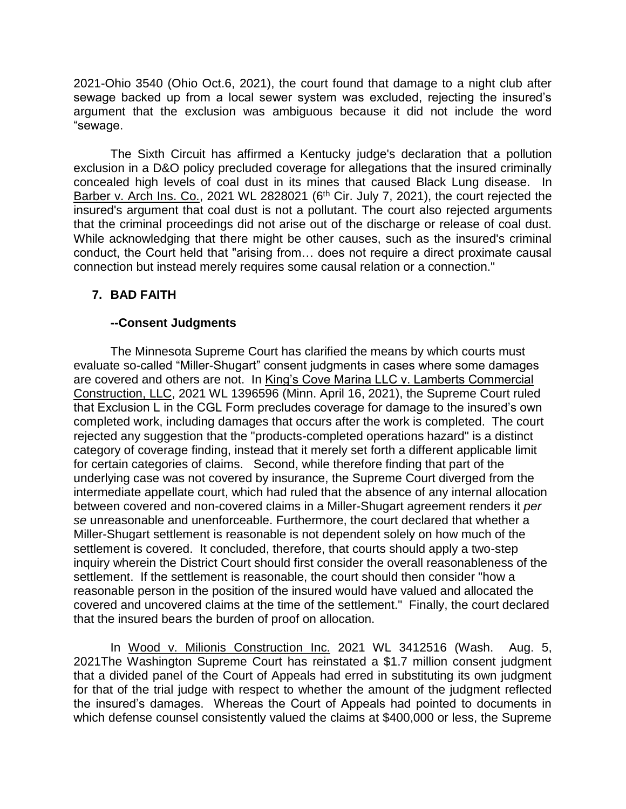2021-Ohio 3540 (Ohio Oct.6, 2021), the court found that damage to a night club after sewage backed up from a local sewer system was excluded, rejecting the insured's argument that the exclusion was ambiguous because it did not include the word "sewage.

The Sixth Circuit has affirmed a Kentucky judge's declaration that a pollution exclusion in a D&O policy precluded coverage for allegations that the insured criminally concealed high levels of coal dust in its mines that caused Black Lung disease. In Barber v. Arch Ins. Co., 2021 WL 2828021 (6<sup>th</sup> Cir. July 7, 2021), the court rejected the insured's argument that coal dust is not a pollutant. The court also rejected arguments that the criminal proceedings did not arise out of the discharge or release of coal dust. While acknowledging that there might be other causes, such as the insured's criminal conduct, the Court held that "arising from… does not require a direct proximate causal connection but instead merely requires some causal relation or a connection."

# **7. BAD FAITH**

#### **--Consent Judgments**

The Minnesota Supreme Court has clarified the means by which courts must evaluate so-called "Miller-Shugart" consent judgments in cases where some damages are covered and others are not. In King's Cove Marina LLC v. Lamberts Commercial Construction, LLC, 2021 WL 1396596 (Minn. April 16, 2021), the Supreme Court ruled that Exclusion L in the CGL Form precludes coverage for damage to the insured's own completed work, including damages that occurs after the work is completed. The court rejected any suggestion that the "products-completed operations hazard" is a distinct category of coverage finding, instead that it merely set forth a different applicable limit for certain categories of claims. Second, while therefore finding that part of the underlying case was not covered by insurance, the Supreme Court diverged from the intermediate appellate court, which had ruled that the absence of any internal allocation between covered and non-covered claims in a Miller-Shugart agreement renders it *per se* unreasonable and unenforceable. Furthermore, the court declared that whether a Miller-Shugart settlement is reasonable is not dependent solely on how much of the settlement is covered. It concluded, therefore, that courts should apply a two-step inquiry wherein the District Court should first consider the overall reasonableness of the settlement. If the settlement is reasonable, the court should then consider "how a reasonable person in the position of the insured would have valued and allocated the covered and uncovered claims at the time of the settlement." Finally, the court declared that the insured bears the burden of proof on allocation.

In Wood v. Milionis Construction Inc. 2021 WL 3412516 (Wash. Aug. 5, 2021The Washington Supreme Court has reinstated a \$1.7 million consent judgment that a divided panel of the Court of Appeals had erred in substituting its own judgment for that of the trial judge with respect to whether the amount of the judgment reflected the insured's damages. Whereas the Court of Appeals had pointed to documents in which defense counsel consistently valued the claims at \$400,000 or less, the Supreme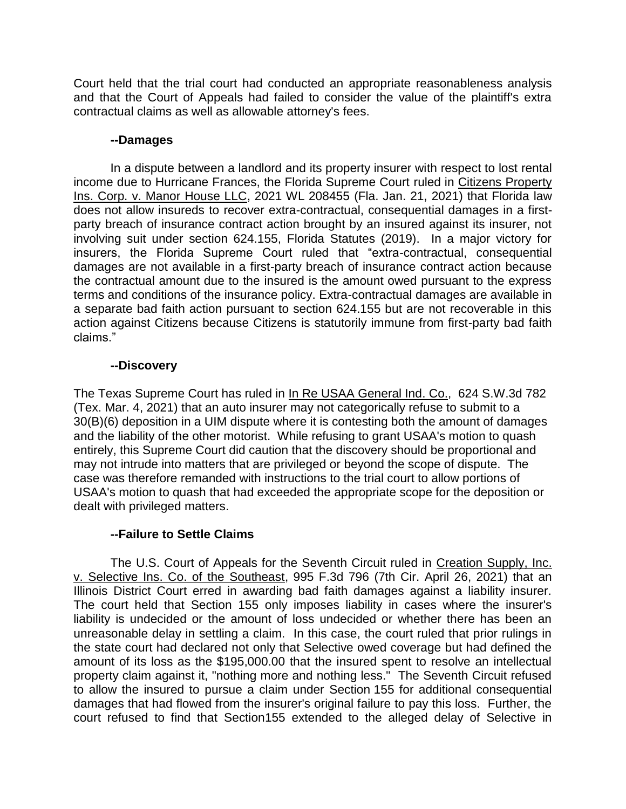Court held that the trial court had conducted an appropriate reasonableness analysis and that the Court of Appeals had failed to consider the value of the plaintiff's extra contractual claims as well as allowable attorney's fees.

#### **--Damages**

In a dispute between a landlord and its property insurer with respect to lost rental income due to Hurricane Frances, the Florida Supreme Court ruled in Citizens Property Ins. Corp. v. Manor House LLC, 2021 WL 208455 (Fla. Jan. 21, 2021) that Florida law does not allow insureds to recover extra-contractual, consequential damages in a firstparty breach of insurance contract action brought by an insured against its insurer, not involving suit under section 624.155, Florida Statutes (2019). In a major victory for insurers, the Florida Supreme Court ruled that "extra-contractual, consequential damages are not available in a first-party breach of insurance contract action because the contractual amount due to the insured is the amount owed pursuant to the express terms and conditions of the insurance policy. Extra-contractual damages are available in a separate bad faith action pursuant to section 624.155 but are not recoverable in this action against Citizens because Citizens is statutorily immune from first-party bad faith claims."

# **--Discovery**

The Texas Supreme Court has ruled in In Re USAA General Ind. Co., 624 S.W.3d 782 (Tex. Mar. 4, 2021) that an auto insurer may not categorically refuse to submit to a 30(B)(6) deposition in a UIM dispute where it is contesting both the amount of damages and the liability of the other motorist. While refusing to grant USAA's motion to quash entirely, this Supreme Court did caution that the discovery should be proportional and may not intrude into matters that are privileged or beyond the scope of dispute. The case was therefore remanded with instructions to the trial court to allow portions of USAA's motion to quash that had exceeded the appropriate scope for the deposition or dealt with privileged matters.

# **--Failure to Settle Claims**

The U.S. Court of Appeals for the Seventh Circuit ruled in Creation Supply, Inc. v. Selective Ins. Co. of the Southeast, 995 F.3d 796 (7th Cir. April 26, 2021) that an Illinois District Court erred in awarding bad faith damages against a liability insurer. The court held that Section 155 only imposes liability in cases where the insurer's liability is undecided or the amount of loss undecided or whether there has been an unreasonable delay in settling a claim. In this case, the court ruled that prior rulings in the state court had declared not only that Selective owed coverage but had defined the amount of its loss as the \$195,000.00 that the insured spent to resolve an intellectual property claim against it, "nothing more and nothing less." The Seventh Circuit refused to allow the insured to pursue a claim under Section 155 for additional consequential damages that had flowed from the insurer's original failure to pay this loss. Further, the court refused to find that Section155 extended to the alleged delay of Selective in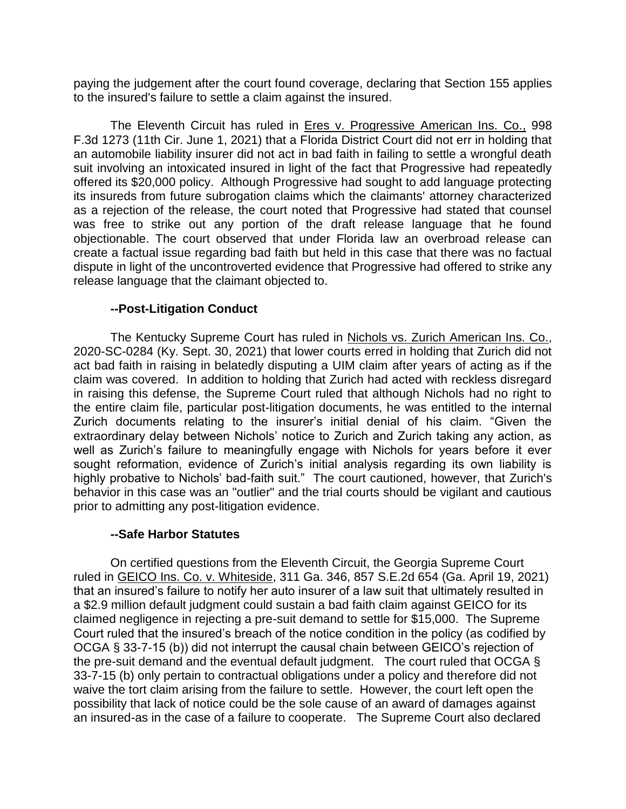paying the judgement after the court found coverage, declaring that Section 155 applies to the insured's failure to settle a claim against the insured.

The Eleventh Circuit has ruled in Eres v. Progressive American Ins. Co., 998 F.3d 1273 (11th Cir. June 1, 2021) that a Florida District Court did not err in holding that an automobile liability insurer did not act in bad faith in failing to settle a wrongful death suit involving an intoxicated insured in light of the fact that Progressive had repeatedly offered its \$20,000 policy. Although Progressive had sought to add language protecting its insureds from future subrogation claims which the claimants' attorney characterized as a rejection of the release, the court noted that Progressive had stated that counsel was free to strike out any portion of the draft release language that he found objectionable. The court observed that under Florida law an overbroad release can create a factual issue regarding bad faith but held in this case that there was no factual dispute in light of the uncontroverted evidence that Progressive had offered to strike any release language that the claimant objected to.

#### **--Post-Litigation Conduct**

The Kentucky Supreme Court has ruled in Nichols vs. Zurich American Ins. Co., 2020-SC-0284 (Ky. Sept. 30, 2021) that lower courts erred in holding that Zurich did not act bad faith in raising in belatedly disputing a UIM claim after years of acting as if the claim was covered. In addition to holding that Zurich had acted with reckless disregard in raising this defense, the Supreme Court ruled that although Nichols had no right to the entire claim file, particular post-litigation documents, he was entitled to the internal Zurich documents relating to the insurer's initial denial of his claim. "Given the extraordinary delay between Nichols' notice to Zurich and Zurich taking any action, as well as Zurich's failure to meaningfully engage with Nichols for years before it ever sought reformation, evidence of Zurich's initial analysis regarding its own liability is highly probative to Nichols' bad-faith suit." The court cautioned, however, that Zurich's behavior in this case was an "outlier" and the trial courts should be vigilant and cautious prior to admitting any post-litigation evidence.

#### **--Safe Harbor Statutes**

On certified questions from the Eleventh Circuit, the Georgia Supreme Court ruled in GEICO Ins. Co. v. Whiteside, 311 Ga. 346, 857 S.E.2d 654 (Ga. April 19, 2021) that an insured's failure to notify her auto insurer of a law suit that ultimately resulted in a \$2.9 million default judgment could sustain a bad faith claim against GEICO for its claimed negligence in rejecting a pre-suit demand to settle for \$15,000. The Supreme Court ruled that the insured's breach of the notice condition in the policy (as codified by OCGA § 33-7-15 (b)) did not interrupt the causal chain between GEICO's rejection of the pre-suit demand and the eventual default judgment. The court ruled that OCGA § 33-7-15 (b) only pertain to contractual obligations under a policy and therefore did not waive the tort claim arising from the failure to settle. However, the court left open the possibility that lack of notice could be the sole cause of an award of damages against an insured-as in the case of a failure to cooperate. The Supreme Court also declared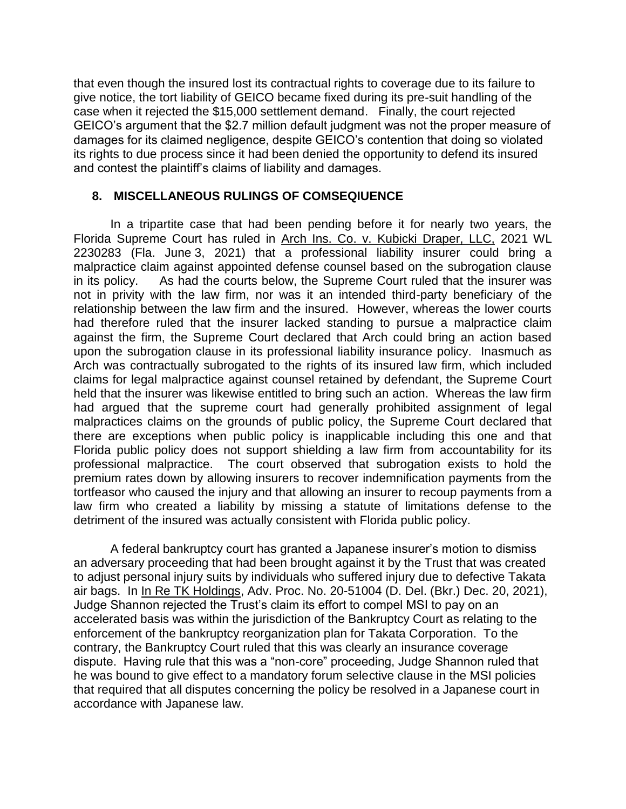that even though the insured lost its contractual rights to coverage due to its failure to give notice, the tort liability of GEICO became fixed during its pre-suit handling of the case when it rejected the \$15,000 settlement demand. Finally, the court rejected GEICO's argument that the \$2.7 million default judgment was not the proper measure of damages for its claimed negligence, despite GEICO's contention that doing so violated its rights to due process since it had been denied the opportunity to defend its insured and contest the plaintiff's claims of liability and damages.

# **8. MISCELLANEOUS RULINGS OF COMSEQIUENCE**

In a tripartite case that had been pending before it for nearly two years, the Florida Supreme Court has ruled in Arch Ins. Co. v. Kubicki Draper, LLC, 2021 WL 2230283 (Fla. June 3, 2021) that a professional liability insurer could bring a malpractice claim against appointed defense counsel based on the subrogation clause in its policy. As had the courts below, the Supreme Court ruled that the insurer was not in privity with the law firm, nor was it an intended third-party beneficiary of the relationship between the law firm and the insured. However, whereas the lower courts had therefore ruled that the insurer lacked standing to pursue a malpractice claim against the firm, the Supreme Court declared that Arch could bring an action based upon the subrogation clause in its professional liability insurance policy. Inasmuch as Arch was contractually subrogated to the rights of its insured law firm, which included claims for legal malpractice against counsel retained by defendant, the Supreme Court held that the insurer was likewise entitled to bring such an action. Whereas the law firm had argued that the supreme court had generally prohibited assignment of legal malpractices claims on the grounds of public policy, the Supreme Court declared that there are exceptions when public policy is inapplicable including this one and that Florida public policy does not support shielding a law firm from accountability for its professional malpractice. The court observed that subrogation exists to hold the premium rates down by allowing insurers to recover indemnification payments from the tortfeasor who caused the injury and that allowing an insurer to recoup payments from a law firm who created a liability by missing a statute of limitations defense to the detriment of the insured was actually consistent with Florida public policy.

A federal bankruptcy court has granted a Japanese insurer's motion to dismiss an adversary proceeding that had been brought against it by the Trust that was created to adjust personal injury suits by individuals who suffered injury due to defective Takata air bags. In In Re TK Holdings, Adv. Proc. No. 20-51004 (D. Del. (Bkr.) Dec. 20, 2021), Judge Shannon rejected the Trust's claim its effort to compel MSI to pay on an accelerated basis was within the jurisdiction of the Bankruptcy Court as relating to the enforcement of the bankruptcy reorganization plan for Takata Corporation. To the contrary, the Bankruptcy Court ruled that this was clearly an insurance coverage dispute. Having rule that this was a "non-core" proceeding, Judge Shannon ruled that he was bound to give effect to a mandatory forum selective clause in the MSI policies that required that all disputes concerning the policy be resolved in a Japanese court in accordance with Japanese law.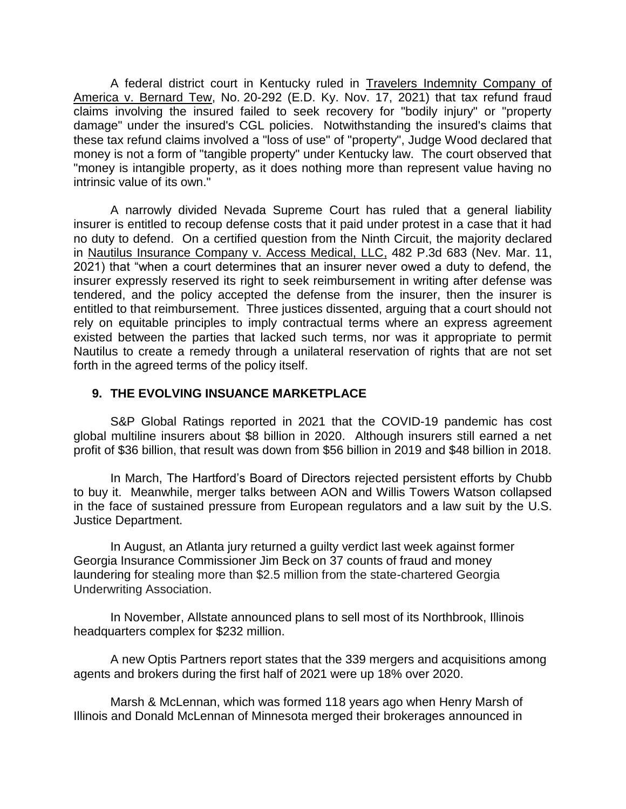A federal district court in Kentucky ruled in Travelers Indemnity Company of America v. Bernard Tew, No. 20-292 (E.D. Ky. Nov. 17, 2021) that tax refund fraud claims involving the insured failed to seek recovery for "bodily injury" or "property damage" under the insured's CGL policies. Notwithstanding the insured's claims that these tax refund claims involved a "loss of use" of "property", Judge Wood declared that money is not a form of "tangible property" under Kentucky law. The court observed that "money is intangible property, as it does nothing more than represent value having no intrinsic value of its own."

A narrowly divided Nevada Supreme Court has ruled that a general liability insurer is entitled to recoup defense costs that it paid under protest in a case that it had no duty to defend. On a certified question from the Ninth Circuit, the majority declared in Nautilus Insurance Company v. Access Medical, LLC, 482 P.3d 683 (Nev. Mar. 11, 2021) that "when a court determines that an insurer never owed a duty to defend, the insurer expressly reserved its right to seek reimbursement in writing after defense was tendered, and the policy accepted the defense from the insurer, then the insurer is entitled to that reimbursement. Three justices dissented, arguing that a court should not rely on equitable principles to imply contractual terms where an express agreement existed between the parties that lacked such terms, nor was it appropriate to permit Nautilus to create a remedy through a unilateral reservation of rights that are not set forth in the agreed terms of the policy itself.

#### **9. THE EVOLVING INSUANCE MARKETPLACE**

S&P Global Ratings reported in 2021 that the COVID-19 pandemic has cost global multiline insurers about \$8 billion in 2020. Although insurers still earned a net profit of \$36 billion, that result was down from \$56 billion in 2019 and \$48 billion in 2018.

In March, The Hartford's Board of Directors rejected persistent efforts by Chubb to buy it. Meanwhile, merger talks between AON and Willis Towers Watson collapsed in the face of sustained pressure from European regulators and a law suit by the U.S. Justice Department.

In August, an Atlanta jury returned a guilty verdict last week against former Georgia Insurance Commissioner Jim Beck on 37 counts of fraud and money laundering for stealing more than \$2.5 million from the state-chartered Georgia Underwriting Association.

In November, Allstate announced plans to sell most of its Northbrook, Illinois headquarters complex for \$232 million.

A new Optis Partners report states that the 339 mergers and acquisitions among agents and brokers during the first half of 2021 were up 18% over 2020.

Marsh & McLennan, which was formed 118 years ago when Henry Marsh of Illinois and Donald McLennan of Minnesota merged their brokerages announced in